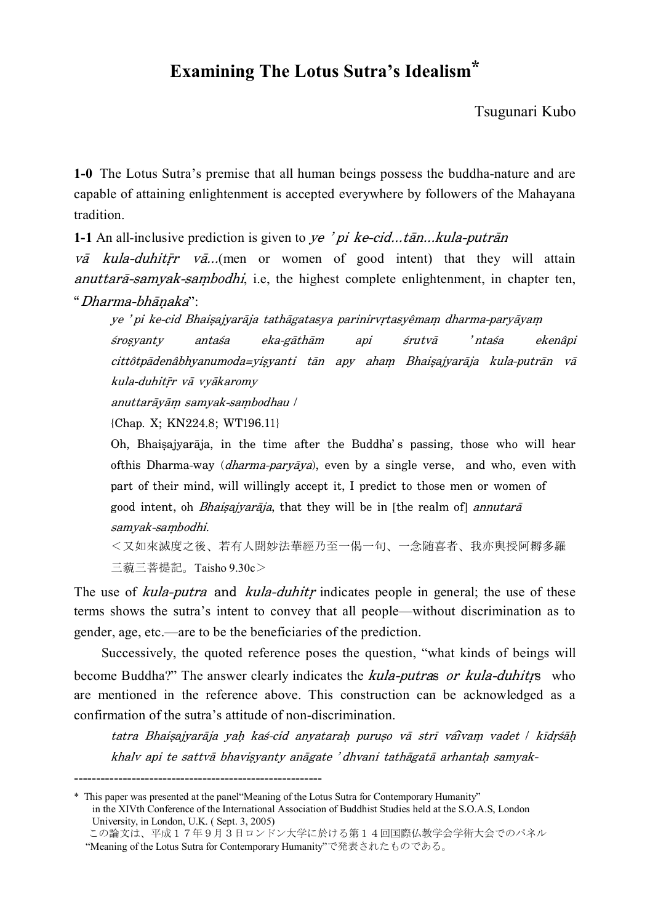## **Examining The Lotus Sutra's Idealism\***

Tsugunari Kubo

**1-0** The Lotus Sutra's premise that all human beings possess the buddha-nature and are capable of attaining enlightenment is accepted everywhere by followers of the Mahayana tradition.

**1-1** An all-inclusive prediction is given to ye 'pi ke-cid...tān...kula-putrān

 $v\bar{a}$  kula-duhitr  $v\bar{a}$ ...(men or women of good intent) that they will attain  $anut \arctan \frac{3}{2}$ -samyak-sambodhi, i.e, the highest complete enlightenment, in chapter ten, "Dharma-bhāṇaka":

ye 'pi ke-cid Bhaisajyarāja tathāgatasya parinirvrtasyêmam dharma-paryāyam śrosyanty antaśa eka-gāthām api śrutvā 'ntaśa ekenâpi cittôtpādenâbhyanumoda=yisyanti tān apy aham Bhaisajyarāja kula-putrān vā kula-duhitrr vā vyākaromy

anuttarāyām samyak-sambodhau /

{Chap. X; KN224.8; WT196.11}

Oh, Bhaisajyarāja, in the time after the Buddha's passing, those who will hear ofthis Dharma-way (*dharma-paryāya*), even by a single verse, and who, even with part of their mind, will willingly accept it, I predict to those men or women of good intent, oh *Bhaisajyarāja*, that they will be in [the realm of] *annutarā* samyak-sambodhi.

< 又 如 來 滅 度 之 後 、 若 有 人 聞 妙 滕 華 經 乃 至 一 偈 一 句 、 一 念 随 喜 者 、 我 亦 與 授 阿 耨 多 羅 三藐三菩提記。Taisho 9.30c>

The use of *kula-putra* and *kula-duhitr* indicates people in general; the use of these terms shows the sutra's intent to convey that all people—without discrimination as to gender, age, etc.—are to be the beneficiaries of the prediction.

Successively, the quoted reference poses the question, "what kinds of beings will become Buddha?" The answer clearly indicates the *kula-putras or kula-duhitrs* who are mentioned in the reference above. This construction can be acknowledged as a confirmation of the sutra's attitude of non-discrimination.

tatra Bhaisajyarāja yah kas-cid anyatarah puruso vā strī vaivam vadet | kīdrsāh khalv api te sattvā bhavisyanty anāgate 'dhvani tathāgatā arhantaḥ samyak-

<sup>--------------------------------------------------------</sup>

<sup>\*</sup> This paper was presented at the panel"Meaning of the Lotus Sutra for Contemporary Humanity" in the XIVth Conference of the International Association of Buddhist Studies held at the S.O.A.S, London University, in London, U.K. ( Sept. 3, 2005)

この論文は、平成17年9月3日ロンドン大学に於ける第14回国際仏教学会学術大会でのパネル "Meaning of the Lotus Sutra for Contemporary Humanity"で発表されたものである。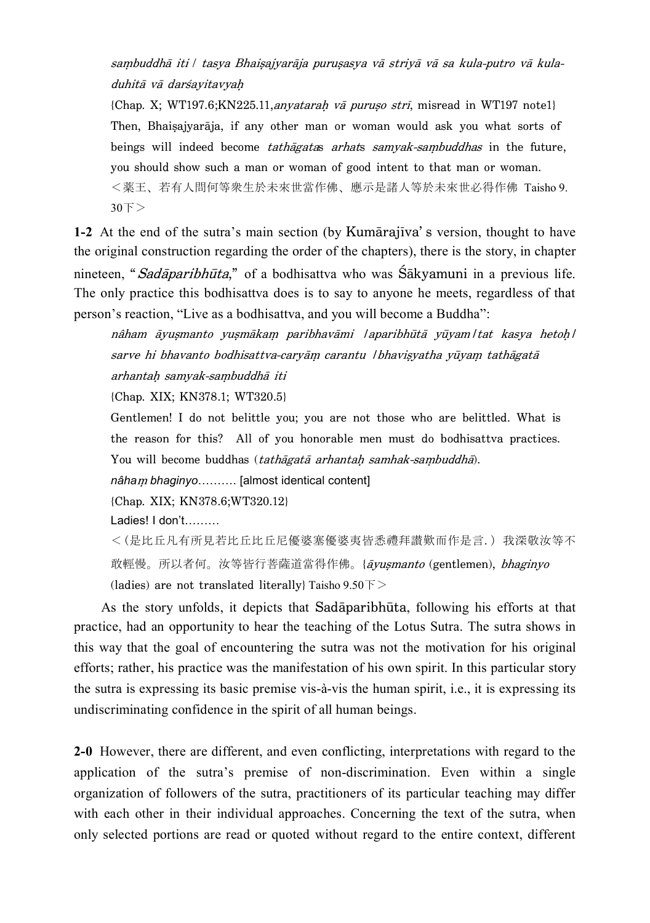sambuddhā iti / tasya Bhaisajyarāja purusasya vā striyā vā sa kula-putro vā kuladuhitā vā darśayitavyah

{Chap. X; WT197.6; KN225.11, any atarah vā puruso strī, misread in WT197 note1} Then, Bhaisajyarāja, if any other man or woman would ask you what sorts of beings will indeed become *tathāgatas arhats samyak-sambuddhas* in the future, you should show such a man or woman of good intent to that man or woman. < 薬 王 、 若 有 人 問 何 等 衆 生 於 未 來 世 當 作 佛 、 應 示 是 諸 人 等 於 未 來 世 必 得 作 佛 Taisho 9.  $30F$ 

**1-2** At the end of the sutra's main section (by Kumārajūva's version, thought to have the original construction regarding the order of the chapters), there is the story, in chapter nineteen, "*Sadāparibhūta*," of a bodhisattva who was Śākyamuni in a previous life. The only practice this bodhisattva does is to say to anyone he meets, regardless of that person's reaction, "Live as a bodhisattva, and you will become a Buddha":

nâham āyuşmanto yuşmākam paribhavāmi laparibhūtā yūyam|tat kasya hetoh| sarve hi bhavanto bodhisattva-caryām carantu / bhavisyatha yūyam tathāgatā arhantah samyak-sambuddhā iti

{Chap. XIX; KN378.1; WT320.5}

Gentlemen! I do not belittle you; you are not those who are belittled. What is the reason for this? All of you honorable men must do bodhisattva practices. You will become buddhas (tathāgatā arhantah samhak-sambuddhā).

*nâha*M *bhaginyo*………. [almost identical content]

{Chap. XIX; KN378.6;WT320.12}

Ladies! I don't………

<(是比丘凡有所見若比丘比丘尼優婆塞優婆夷皆悉禮拜讚歎而作是言.) 我深敬汝等不 敢輕慢。所以者何。汝等皆行菩薩道當得作佛。{āyusmanto (gentlemen), bhaginyo (ladies) are not translated literally} Taisho  $9.50 \overline{\ }$  >

As the story unfolds, it depicts that Sadāparibhūta, following his efforts at that practice, had an opportunity to hear the teaching of the Lotus Sutra. The sutra shows in this way that the goal of encountering the sutra was not the motivation for his original efforts; rather, his practice was the manifestation of his own spirit. In this particular story the sutra is expressing its basic premise vis-à-vis the human spirit, i.e., it is expressing its undiscriminating confidence in the spirit of all human beings.

**2-0** However, there are different, and even conflicting, interpretations with regard to the application of the sutra's premise of non-discrimination. Even within a single organization of followers of the sutra, practitioners of its particular teaching may differ with each other in their individual approaches. Concerning the text of the sutra, when only selected portions are read or quoted without regard to the entire context, different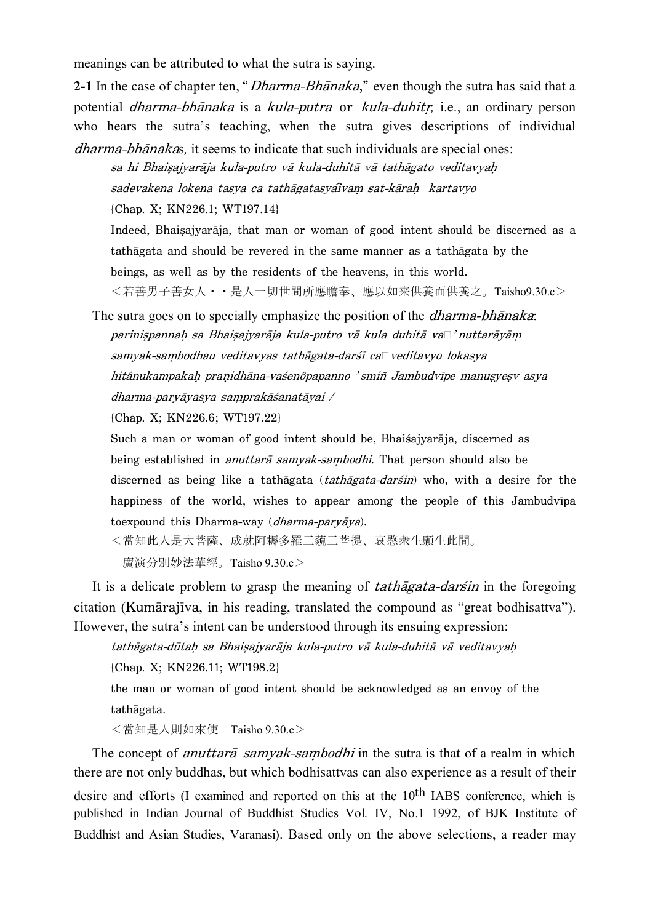meanings can be attributed to what the sutra is saying.

**2-1** In the case of chapter ten, "*Dharma-Bhānaka*," even though the sutra has said that a potential *dharma-bhānaka* is a *kula-putra* or *kula-duhitr*, i.e., an ordinary person who hears the sutra's teaching, when the sutra gives descriptions of individual dharma-bhånakas*,* it seems to indicate that such individuals are special ones:

sa hi Bhaisajyarāja kula-putro vā kula-duhitā vā tathāgato veditavyah sadevakena lokena tasya ca tathāgatasyaîvam sat-kārah kartavyo {Chap. X; KN226.1; WT197.14}

Indeed, Bhaisajyarāja, that man or woman of good intent should be discerned as a tathågata and should be revered in the same manner as a tathågata by the beings, as well as by the residents of the heavens, in this world. <若善男子善女人··是人一切世間所應瞻奉、應以如来供養而供養之。Taisho9.30.c>

The sutra goes on to specially emphasize the position of the *dharma-bhānaka*: parinispannah sa Bhaisajyarāja kula-putro vā kula duhitā va $\Box$ ' nuttarāyām samyak-sambodhau veditavyas tathāgata-darśī ca<sup>1</sup> veditavyo lokasya hitânukampakah pranidhāna-vasenôpapanno 'smiñ Jambudvīpe manusyesv asya  $d$ harma-paryāyasya samprakāśanatāyai  $\ell$ 

{Chap. X; KN226.6; WT197.22}

Such a man or woman of good intent should be, Bhaißajyaråja, discerned as being established in *anuttarā samvak-sambodhi*. That person should also be discerned as being like a tathāgata (tathāgata-darśin) who, with a desire for the happiness of the world, wishes to appear among the people of this Jambudvipa toexpound this Dharma-way (dharma-paryåya).

<當知此人是大菩薩、成就阿耨多羅三藐三菩提、哀愍衆生願生此間。

廣演分別妙法華經。Taisho 9.30.c>

It is a delicate problem to grasp the meaning of *tathagata-darsin* in the foregoing citation (Kumārajīva, in his reading, translated the compound as "great bodhisattva"). However, the sutra's intent can be understood through its ensuing expression:

tathāgata-dūtah sa Bhaisajyarāja kula-putro vā kula-duhitā vā veditavyah

{Chap. X; KN226.11; WT198.2}

the man or woman of good intent should be acknowledged as an envoy of the tathågata.

<當知是人則如來使 Taisho 9.30.c>

The concept of *anuttara* samyak-sambodhi in the sutra is that of a realm in which there are not only buddhas, but which bodhisattvas can also experience as a result of their desire and efforts (I examined and reported on this at the 10th IABS conference, which is published in Indian Journal of Buddhist Studies Vol. IV, No.1 1992, of BJK Institute of Buddhist and Asian Studies, Varanasi). Based only on the above selections, a reader may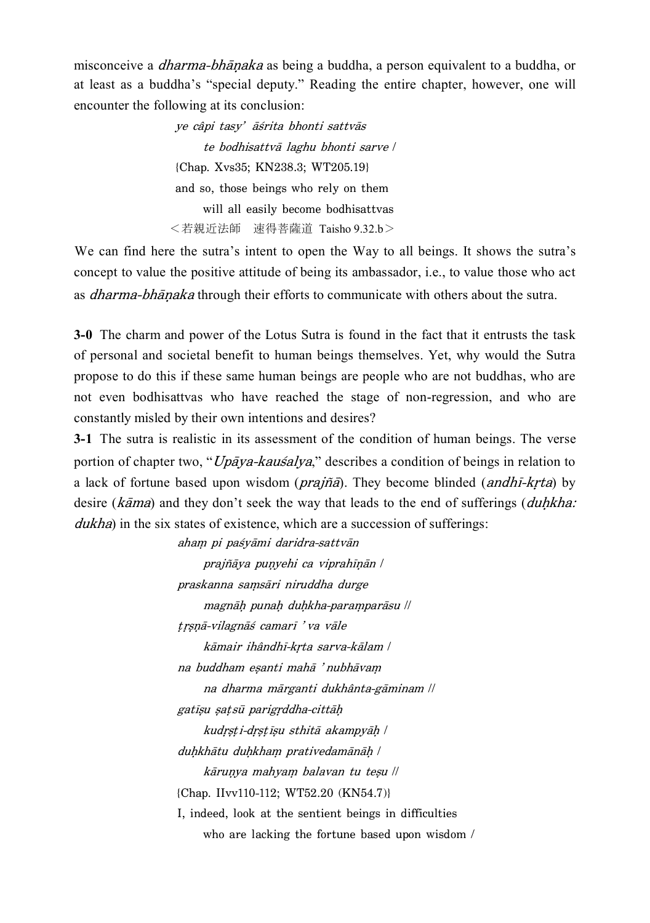misconceive a *dharma-bhānaka* as being a buddha, a person equivalent to a buddha, or at least as a buddha's "special deputy." Reading the entire chapter, however, one will encounter the following at its conclusion:

> ye câpi tasy' āśrita bhonti sattvās te bodhisattvå laghu bhonti sarve \ {Chap. Xvs35; KN238.3; WT205.19} and so, those beings who rely on them will all easily become bodhisattvas <若親近法師 速得菩薩道 Taisho 9.32.b>

We can find here the sutra's intent to open the Way to all beings. It shows the sutra's concept to value the positive attitude of being its ambassador, i.e., to value those who act as *dharma-bhānaka* through their efforts to communicate with others about the sutra.

**3-0** The charm and power of the Lotus Sutra is found in the fact that it entrusts the task of personal and societal benefit to human beings themselves. Yet, why would the Sutra propose to do this if these same human beings are people who are not buddhas, who are not even bodhisattvas who have reached the stage of non-regression, and who are constantly misled by their own intentions and desires?

**3-1** The sutra is realistic in its assessment of the condition of human beings. The verse portion of chapter two, " $Up\bar{a}ya-kau\acute{s}aly\acute{a}$ ," describes a condition of beings in relation to a lack of fortune based upon wisdom ( $prajña$ ). They become blinded (andh $\overline{I}$ -krta) by desire ( $k\bar{a}$ ma) and they don't seek the way that leads to the end of sufferings ( $duhkha$ : dukha) in the six states of existence, which are a succession of sufferings:

> aham pi paśyāmi daridra-sattvān prajñāya puņyehi ca viprahīņān / praskanna samsāri niruddha durge magnāḥ punaḥ duḥkha-paraṃparāsu \\ trsnā-vilagnāś camarī 'va vāle kāmair ihândhī-krta sarva-kālam / na buddham esanti mahā 'nubhāvam na dharma mårganti dukhânta-gåminam \\ gatīșu satsū parigrddha-cittāh kudrsti-drstisu sthitā akampyāh / duhkhātu duhkham prativedamānāh / kārunya mahyam balavan tu teşu || {Chap. IIvv110-112; WT52.20 (KN54.7)} I, indeed, look at the sentient beings in difficulties who are lacking the fortune based upon wisdom /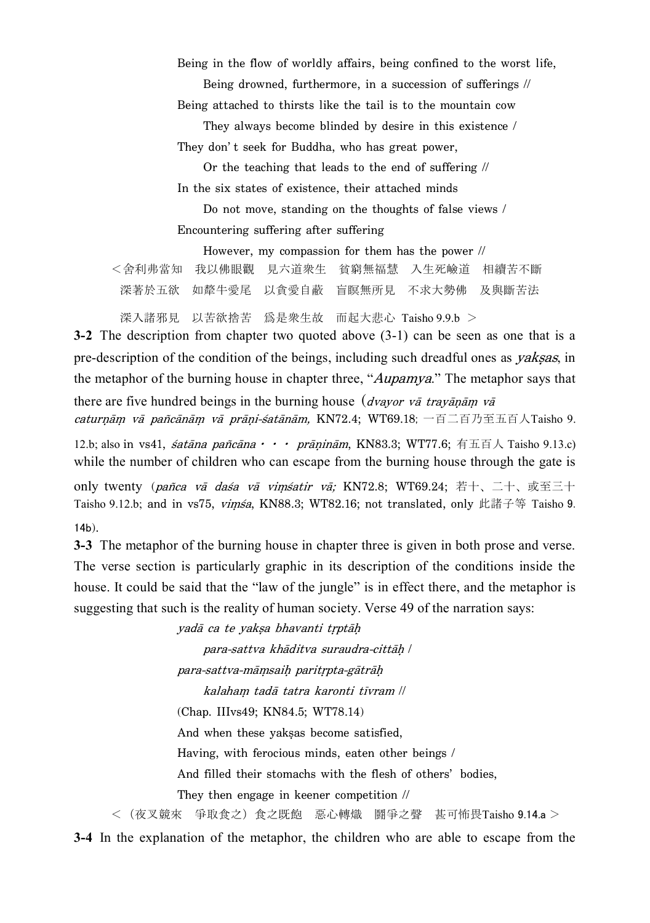Being in the flow of worldly affairs, being confined to the worst life,

Being drowned, furthermore, in a succession of sufferings  $\sqrt{ }$ 

Being attached to thirsts like the tail is to the mountain cow

They always become blinded by desire in this existence  $\ell$ They don't seek for Buddha, who has great power,

Or the teaching that leads to the end of suffering  $\sqrt{ }$ In the six states of existence, their attached minds

Do not move, standing on the thoughts of false views / Encountering suffering after suffering

However, my compassion for them has the power  $\sqrt{ }$ 

<舍利弗當知 我以佛眼觀 見六道衆生 貧窮無福慧 入生死嶮道 相續苦不斷 深著於五欲 如犛牛愛尾 以貪愛自蔽 盲瞑無所見 不求大勢佛 及與斷苦法

深入諸邪見 以苦欲捨苦 爲是衆生故 而起大悲心 Taisho 9.9.b >

**3-2** The description from chapter two quoted above (3-1) can be seen as one that is a pre-description of the condition of the beings, including such dreadful ones as *yaksas*, in the metaphor of the burning house in chapter three, "*Aupamya*." The metaphor says that there are five hundred beings in the burning house (*dvayor vā travānām vā* caturnām vā pañcānām vā prāṇi-śatānām, KN72.4; WT69.18; 一百二百乃至五百人Taisho 9.

12.b; also in vs41, satāna pañcāna • • • prāninām, KN83.3; WT77.6; 有五百人 Taisho 9.13.c) while the number of children who can escape from the burning house through the gate is

only twenty (pañca vā daśa vā vimśatir vā; KN72.8; WT69.24; 若十、二十、或至三十 Taisho 9.12.b; and in vs75, vimsa, KN88.3; WT82.16; not translated, only 此諸子等 Taisho 9. 14b).

**3-3** The metaphor of the burning house in chapter three is given in both prose and verse. The verse section is particularly graphic in its description of the conditions inside the house. It could be said that the "law of the jungle" is in effect there, and the metaphor is suggesting that such is the reality of human society. Verse 49 of the narration says:

yadā ca te yaksa bhavanti trptāh

para-sattva khāditva suraudra-cittāh / para-sattva-māmsaih paritrpta-gātrāh kalaham tadā tatra karonti tīvram \\ (Chap. IIIvs49; KN84.5; WT78.14) And when these yaksas become satisfied, Having, with ferocious minds, eaten other beings / And filled their stomachs with the flesh of others' bodies, They then engage in keener competition  $\sqrt{ }$ < (夜叉競來 爭取食之) 食之既飽 惡心轉熾 鬪爭之聲 甚可怖畏Taisho 9.14.a >

**3-4** In the explanation of the metaphor, the children who are able to escape from the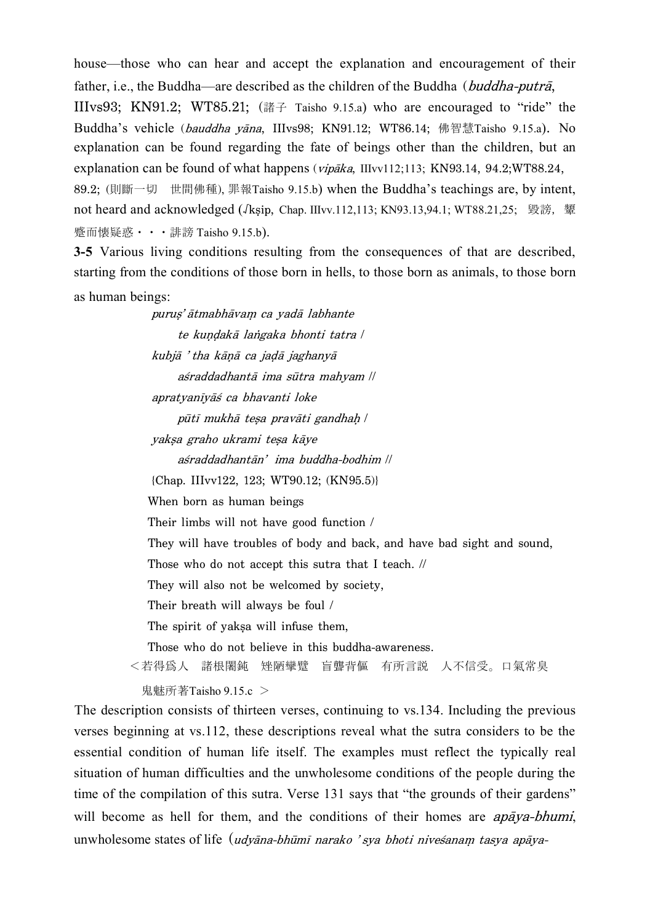house—those who can hear and accept the explanation and encouragement of their father, i.e., the Buddha—are described as the children of the Buddha (buddha-putrå, IIIvs93: KN91.2; WT85.21; (講子 Taisho 9.15.a) who are encouraged to "ride" the Buddha's vehicle (bauddha yāna, IIIvs98; KN91.12; WT86.14; 佛智慧 Taisho 9.15.a). No explanation can be found regarding the fate of beings other than the children, but an explanation can be found of what happens (vipåka, IIIvv112;113; KN93.14, 94.2;WT88.24, 89.2; (則斷一切 世間佛種), 罪報Taisho 9.15.b) when the Buddha's teachings are, by intent, not heard and acknowledged (*J*ksip, Chap. IIIvv.112,113; KN93.13,94.1; WT88.21,25; 毀謗, 顰 蹙而懐疑惑 • • • 誹謗 Taisho 9.15.b).

**3-5** Various living conditions resulting from the consequences of that are described, starting from the conditions of those born in hells, to those born as animals, to those born as human beings:

> puruș' ātmabhāvam ca yadā labhante te kundakā langaka bhonti tatra / kubjā 'tha kāņā ca jadā jaghanyā aśraddadhantā ima sūtra mahyam || apratyanīyāś ca bhavanti loke pūtī mukhā tesa pravāti gandhah / yakşa graho ukrami teşa kāye aśraddadhantān' ima buddha-bodhim || {Chap. IIIvv122, 123; WT90.12; (KN95.5)} When born as human beings Their limbs will not have good function / They will have troubles of body and back, and have bad sight and sound, Those who do not accept this sutra that I teach.  $\|\cdot\|$ They will also not be welcomed by society, Their breath will always be foul / The spirit of yaksa will infuse them, Those who do not believe in this buddha-awareness. <若得爲人 諸根闍鈍 矬陋攣躄 盲聾背傴 有所言説 人不信受。口氣常臭

鬼 魅 所 著 Taisho  $9.15.c$  >

The description consists of thirteen verses, continuing to vs.134. Including the previous verses beginning at vs.112, these descriptions reveal what the sutra considers to be the essential condition of human life itself. The examples must reflect the typically real situation of human difficulties and the unwholesome conditions of the people during the time of the compilation of this sutra. Verse 131 says that "the grounds of their gardens" will become as hell for them, and the conditions of their homes are  $ap\bar{a}ya-bhumi$ , unwholesome states of life  $(udyāna-bhūmī narako' sya bhoti nivešanam tasya apāya-$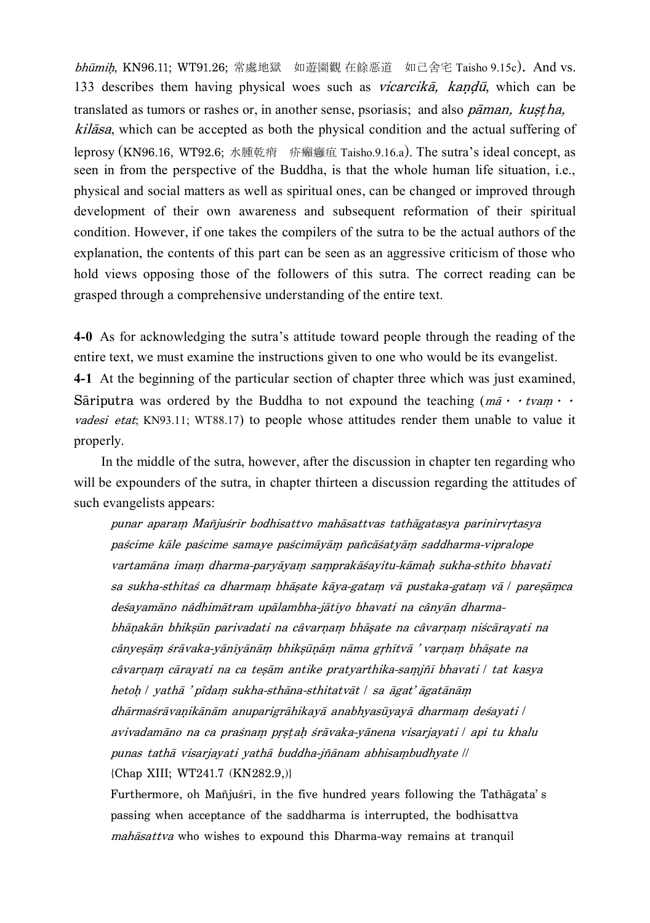bhūmih, KN96.11; WT91.26; 常處地獄 如遊園觀 在餘惡道 如己舍宅 Taisho 9.15c). And vs. 133 describes them having physical woes such as *vicarcika*, kandu, which can be translated as tumors or rashes or, in another sense, psoriasis; and also  $p\bar{a}$ man, kustha, kilåsa, which can be accepted as both the physical condition and the actual suffering of leprosy (KN96.16, WT92.6; 水腫乾痟 疥癩癰疽 Taisho.9.16.a). The sutra's ideal concept, as seen in from the perspective of the Buddha, is that the whole human life situation, i.e., physical and social matters as well as spiritual ones, can be changed or improved through development of their own awareness and subsequent reformation of their spiritual condition. However, if one takes the compilers of the sutra to be the actual authors of the explanation, the contents of this part can be seen as an aggressive criticism of those who hold views opposing those of the followers of this sutra. The correct reading can be grasped through a comprehensive understanding of the entire text.

**4-0** As for acknowledging the sutra's attitude toward people through the reading of the entire text, we must examine the instructions given to one who would be its evangelist. **4-1** At the beginning of the particular section of chapter three which was just examined, Sariputra was ordered by the Buddha to not expound the teaching  $(m\bar{a} \cdot t \nu am \cdot \nu \nu m)$ vadesi etat; KN93.11; WT88.17) to people whose attitudes render them unable to value it properly.

In the middle of the sutra, however, after the discussion in chapter ten regarding who will be expounders of the sutra, in chapter thirteen a discussion regarding the attitudes of such evangelists appears:

punar aparam Mañjuśrīr bodhisattvo mahāsattvas tathāgatasya parinirvrtasya paścime kāle paścime samaye paścimāyām pañcāśatyām saddharma-vipralope vartamāna imam dharma-paryāyam samprakāśayitu-kāmah sukha-sthito bhavati sa sukha-sthitaś ca dharmam bhāşate kāya-gatam vā pustaka-gatam vā  $\sqrt{\frac{1}{2}}$ paresāmca desayamāno nâdhimātram upālambha-jātīyo bhavati na cânyān dharmabhānakān bhiksūn parivadati na câvarnam bhāsate na câvarnam niścārayati na cânyeşām śrāvaka-yānīyānām bhiksūņām nāma grhītvā 'varņam bhāşate na câvarnam cārayati na ca teşām antike pratyarthika-samjñī bhavati / tat kasya hetoh | yathā 'pîdam sukha-sthāna-sthitatvāt | sa āgat'āgatānām  $dh\$ arma $s$ rāvanikānām anuparigrāhikayā anabhyasuvayā dharmam desayati  $\ell$ avivadamāno na ca praśnam prstah śrāvaka-yānena visarjayati | api tu khalu punas tathā visarjayati yathā buddha-jñānam abhisambudhyate \\ {Chap XIII; WT241.7 (KN282.9,)}

Furthermore, oh Mañjuśrī, in the five hundred years following the Tathāgata's passing when acceptance of the saddharma is interrupted, the bodhisattva  $mah\bar{a}sat\bar{v}a$  who wishes to expound this Dharma-way remains at tranquil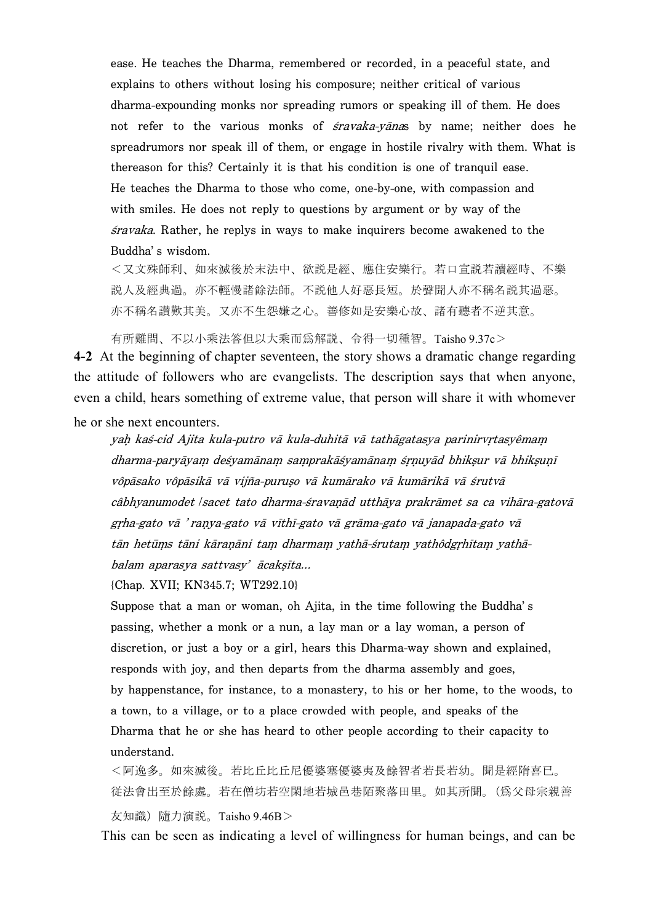ease. He teaches the Dharma, remembered or recorded, in a peaceful state, and explains to others without losing his composure; neither critical of various dharma-expounding monks nor spreading rumors or speaking ill of them. He does not refer to the various monks of *śravaka-yāna*s by name; neither does he spreadrumors nor speak ill of them, or engage in hostile rivalry with them. What is thereason for this? Certainly it is that his condition is one of tranquil ease. He teaches the Dharma to those who come, one-by-one, with compassion and with smiles. He does not reply to questions by argument or by way of the ßravaka. Rather, he replys in ways to make inquirers become awakened to the Buddha's wisdom.

<又文殊師利、如來滅後於末法中、欲説是經、應住安樂行。若口宣説若讀經時、不樂 説人及經典過。亦不輕慢諸餘法師。不説他人好惡長短。於聲聞人亦不稱名説其過惡。 亦不稱名讃歎其美。又亦不生怨嫌之心。善修如是安樂心故、諸有聽者不逆其意。

有所難問、不以小乘法答但以大乘而爲解説、令得一切種智。Taisho 9.37c>

**4-2** At the beginning of chapter seventeen, the story shows a dramatic change regarding the attitude of followers who are evangelists. The description says that when anyone, even a child, hears something of extreme value, that person will share it with whomever he or she next encounters.

yah kaś-cid Ajita kula-putro vā kula-duhitā vā tathāgatasya parinirvrtasyêmam dharma-paryāyam deśyamānam samprakāśyamānam śrņuyād bhikşur vā bhikşuņī vôpāsako vôpāsikā vā vijña-puruso vā kumārako vā kumārikā vā śrutvā câbhyanumodet *|sacet tato dharma-śravanād utthāya prakrāmet sa ca vihāra-gatovā* grha-gato vā 'ranya-gato vā vīthī-gato vā grāma-gato vā janapada-gato vā tān hetūms tāni kāranāni tam dharmam yathā-śrutam yathôdgrhītam yathābalam aparasya sattvasy' ācaksīta...

{Chap. XVII; KN345.7; WT292.10}

Suppose that a man or woman, oh Ajita, in the time following the Buddha's passing, whether a monk or a nun, a lay man or a lay woman, a person of discretion, or just a boy or a girl, hears this Dharma-way shown and explained, responds with joy, and then departs from the dharma assembly and goes, by happenstance, for instance, to a monastery, to his or her home, to the woods, to a town, to a village, or to a place crowded with people, and speaks of the Dharma that he or she has heard to other people according to their capacity to understand.

<阿逸多。如來滅後。若比丘比丘尼優婆塞優婆夷及餘智者若長若幼。聞是經隋喜已。 従法會出至於餘處。若在僧坊若空閑地若城邑巷陌聚落田里。如其所聞。(爲父母宗親善 友知識) 隨力演説。Taisho 9.46B >

This can be seen as indicating a level of willingness for human beings, and can be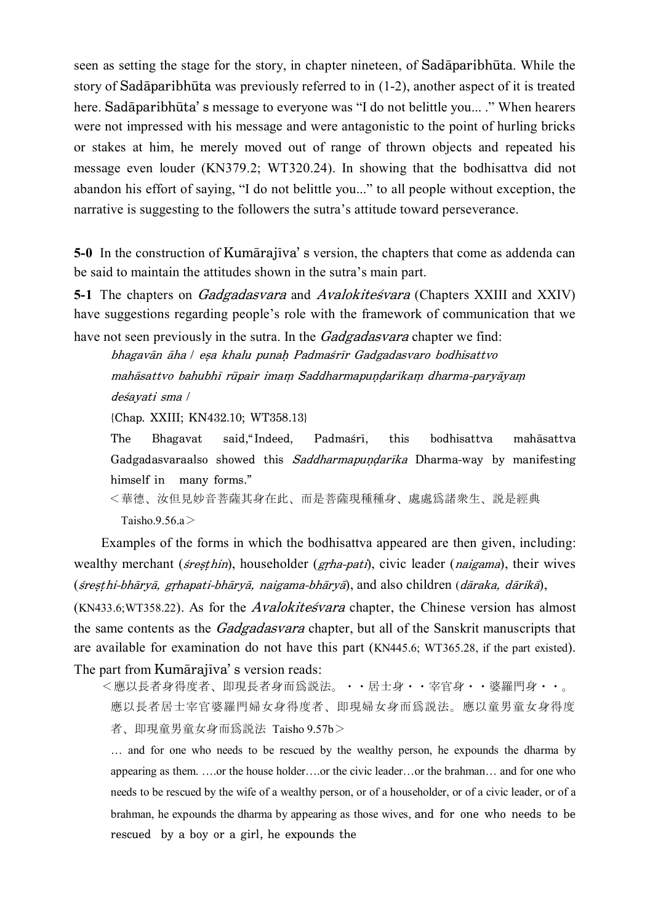seen as setting the stage for the story, in chapter nineteen, of Sadāparibhūta. While the story of Sadāparibhūta was previously referred to in  $(1-2)$ , another aspect of it is treated here. Sadāparibhūta's message to everyone was "I do not belittle you....." When hearers were not impressed with his message and were antagonistic to the point of hurling bricks or stakes at him, he merely moved out of range of thrown objects and repeated his message even louder (KN379.2; WT320.24). In showing that the bodhisattva did not abandon his effort of saying, "I do not belittle you..." to all people without exception, the narrative is suggesting to the followers the sutra's attitude toward perseverance.

**5-0** In the construction of Kumārajīva' s version, the chapters that come as addenda can be said to maintain the attitudes shown in the sutra's main part.

**5-1** The chapters on *Gadgadasvara* and *Avalokitesvara* (Chapters XXIII and XXIV) have suggestions regarding people's role with the framework of communication that we

have not seen previously in the sutra. In the Gadgadasvara chapter we find: bhagavān āha | eșa khalu punah Padmaśrīr Gadgadasvaro bodhisattvo mahāsattvo bahubhī rūpair imam Saddharmapuṇḍarīkaṃ dharma-paryāyaṃ deßayati sma \

{Chap. XXIII; KN432.10; WT358.13}

The Bhagavat said, Indeed, Padmasri, this bodhisattva mahāsattva Gadgadasvaraalso showed this Saddharmapundarika Dharma-way by manifesting himself in many forms."

< 華 德 、 湝 但 見 妙 音 菩 薩 其 身 在 此 、 而 是 菩 薩 現 種 種 身 、 處 處 爲 諸 衆 生 、 説 是 經 典 Taisho.9.56.a>

Examples of the forms in which the bodhisattva appeared are then given, including: wealthy merchant (*sivesthin*), householder (*grha-pati*), civic leader (*naigama*), their wives (śreșțhi-bhāryā, grhapati-bhāryā, naigama-bhāryā), and also children (dāraka, dārikā),

 $(KN433.6; WT358.22)$ . As for the *Avalokite svara* chapter, the Chinese version has almost the same contents as the *Gadgadasvara* chapter, but all of the Sanskrit manuscripts that are available for examination do not have this part (KN445.6; WT365.28, if the part existed). The part from Kumārajīva' s version reads:

<應以長者身得度者、即現長者身而爲説法。・・居士身・・宰官身・・婆羅門身・・。 應以長者居士宰官婆羅門婦女身得度者、即現婦女身而爲説法。應以童男童女身得度 者、即現童男童女身而爲説法 Taisho 9.57b>

… and for one who needs to be rescued by the wealthy person, he expounds the dharma by appearing as them. ….or the house holder….or the civic leader…or the brahman… and for one who needs to be rescued by the wife of a wealthy person, or of a householder, or of a civic leader, or of a brahman, he expounds the dharma by appearing as those wives, and for one who needs to be rescued by a boy or a girl, he expounds the